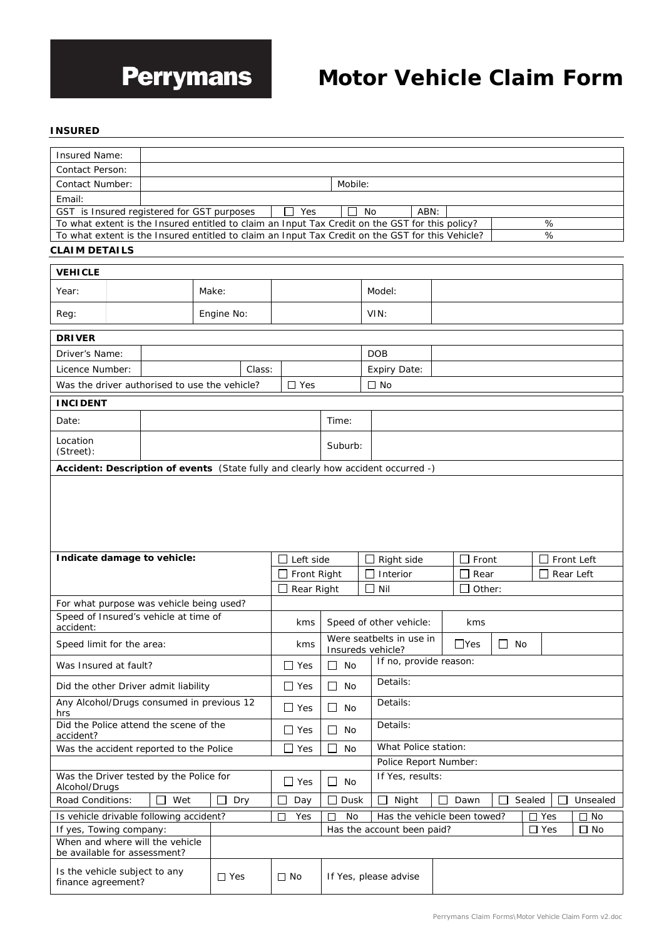

# **Motor Vehicle Claim Form**

#### **INSURED**

| Insured Name:                                       |  |                                                                                                  |                     |        |                    |                      |                                               |                       |                     |      |                             |           |            |         |            |
|-----------------------------------------------------|--|--------------------------------------------------------------------------------------------------|---------------------|--------|--------------------|----------------------|-----------------------------------------------|-----------------------|---------------------|------|-----------------------------|-----------|------------|---------|------------|
| Contact Person:                                     |  |                                                                                                  |                     |        |                    |                      |                                               |                       |                     |      |                             |           |            |         |            |
| <b>Contact Number:</b>                              |  |                                                                                                  |                     |        |                    |                      | Mobile:                                       |                       |                     |      |                             |           |            |         |            |
| Email:                                              |  |                                                                                                  |                     |        |                    |                      |                                               |                       |                     |      |                             |           |            |         |            |
|                                                     |  | GST is Insured registered for GST purposes                                                       |                     |        | Yes                |                      |                                               | <b>No</b>             |                     | ABN: |                             |           |            |         |            |
|                                                     |  | To what extent is the Insured entitled to claim an Input Tax Credit on the GST for this policy?  |                     |        |                    |                      |                                               |                       |                     |      |                             |           | %          |         |            |
|                                                     |  | To what extent is the Insured entitled to claim an Input Tax Credit on the GST for this Vehicle? |                     |        |                    |                      |                                               |                       |                     |      |                             |           | %          |         |            |
| <b>CLAIM DETAILS</b>                                |  |                                                                                                  |                     |        |                    |                      |                                               |                       |                     |      |                             |           |            |         |            |
| <b>VEHICLE</b>                                      |  |                                                                                                  |                     |        |                    |                      |                                               |                       |                     |      |                             |           |            |         |            |
| Year:                                               |  |                                                                                                  | Make:               |        |                    |                      |                                               | Model:                |                     |      |                             |           |            |         |            |
| Reg:                                                |  |                                                                                                  | Engine No:          |        |                    |                      |                                               | VIN:                  |                     |      |                             |           |            |         |            |
| <b>DRIVER</b>                                       |  |                                                                                                  |                     |        |                    |                      |                                               |                       |                     |      |                             |           |            |         |            |
| Driver's Name:                                      |  |                                                                                                  |                     |        |                    |                      |                                               | <b>DOB</b>            |                     |      |                             |           |            |         |            |
| Licence Number:                                     |  |                                                                                                  |                     | Class: |                    |                      |                                               |                       | <b>Expiry Date:</b> |      |                             |           |            |         |            |
|                                                     |  | Was the driver authorised to use the vehicle?                                                    |                     |        | $\square$ Yes      |                      |                                               | $\Box$ No             |                     |      |                             |           |            |         |            |
|                                                     |  |                                                                                                  |                     |        |                    |                      |                                               |                       |                     |      |                             |           |            |         |            |
| <b>INCIDENT</b>                                     |  |                                                                                                  |                     |        |                    |                      |                                               |                       |                     |      |                             |           |            |         |            |
| Date:                                               |  |                                                                                                  |                     |        |                    |                      | Time:                                         |                       |                     |      |                             |           |            |         |            |
| Location<br>(Street):                               |  |                                                                                                  |                     |        |                    |                      | Suburb:                                       |                       |                     |      |                             |           |            |         |            |
|                                                     |  | Accident: Description of events (State fully and clearly how accident occurred -)                |                     |        |                    |                      |                                               |                       |                     |      |                             |           |            |         |            |
|                                                     |  |                                                                                                  |                     |        |                    |                      |                                               |                       |                     |      |                             |           |            |         |            |
|                                                     |  | Indicate damage to vehicle:                                                                      |                     |        | $\Box$ Left side   |                      |                                               |                       | $\Box$ Right side   |      | Front<br>$\Box$             |           |            |         | Front Left |
|                                                     |  |                                                                                                  |                     |        | Front Right        |                      |                                               |                       | Interior            |      | Rear                        |           |            |         | Rear Left  |
|                                                     |  |                                                                                                  |                     |        | $\Box$ Rear Right  |                      |                                               | $\Box$ Nil            |                     |      | Other:                      |           |            |         |            |
|                                                     |  | For what purpose was vehicle being used?                                                         |                     |        |                    |                      |                                               |                       |                     |      |                             |           |            |         |            |
| accident:                                           |  | Speed of Insured's vehicle at time of                                                            |                     |        | kms                |                      | Speed of other vehicle:                       |                       |                     |      | kms                         |           |            |         |            |
| Speed limit for the area:                           |  |                                                                                                  |                     |        | kms                |                      | Were seatbelts in use in<br>Insureds vehicle? |                       |                     |      | $\Box$ Yes                  | $\Box$ No |            |         |            |
| Was Insured at fault?                               |  |                                                                                                  |                     |        | $\Box$ Yes         |                      | $\Box$ No                                     |                       |                     |      | If no, provide reason:      |           |            |         |            |
|                                                     |  | Did the other Driver admit liability                                                             |                     |        | $\Box$ Yes         |                      | $\Box$ No                                     |                       | Details:            |      |                             |           |            |         |            |
| Any Alcohol/Drugs consumed in previous 12<br>hrs    |  |                                                                                                  | $\Box$ Yes          |        | No<br>$\mathsf{L}$ |                      | Details:                                      |                       |                     |      |                             |           |            |         |            |
| Did the Police attend the scene of the<br>accident? |  |                                                                                                  | $\Box$ Yes          |        | $\perp$<br>No      |                      | Details:                                      |                       |                     |      |                             |           |            |         |            |
| Was the accident reported to the Police             |  |                                                                                                  | $\square$ Yes<br>No |        |                    | What Police station: |                                               |                       |                     |      |                             |           |            |         |            |
|                                                     |  |                                                                                                  |                     |        |                    |                      |                                               | Police Report Number: |                     |      |                             |           |            |         |            |
| Alcohol/Drugs                                       |  | Was the Driver tested by the Police for                                                          |                     |        | $\Box$ Yes         |                      | $\Box$ No                                     |                       | If Yes, results:    |      |                             |           |            |         |            |
| Road Conditions:                                    |  | Wet<br>ப                                                                                         | □                   | Dry    | Day                |                      | Г<br>Dusk                                     | $\perp$               | Night               |      | Dawn<br>$\blacksquare$      |           | Sealed     | $\perp$ | Unsealed   |
|                                                     |  | Is vehicle drivable following accident?                                                          |                     |        | Yes<br>ΙI          |                      | No<br>П                                       |                       |                     |      | Has the vehicle been towed? |           | $\Box$ Yes |         | $\Box$ No  |
| If yes, Towing company:                             |  |                                                                                                  |                     |        |                    |                      | Has the account been paid?                    |                       |                     |      |                             |           | $\Box$ Yes |         | $\Box$ No  |
| be available for assessment?                        |  | When and where will the vehicle                                                                  |                     |        |                    |                      |                                               |                       |                     |      |                             |           |            |         |            |
| Is the vehicle subject to any<br>finance agreement? |  |                                                                                                  | $\Box$ Yes          |        | $\Box$ No          |                      | If Yes, please advise                         |                       |                     |      |                             |           |            |         |            |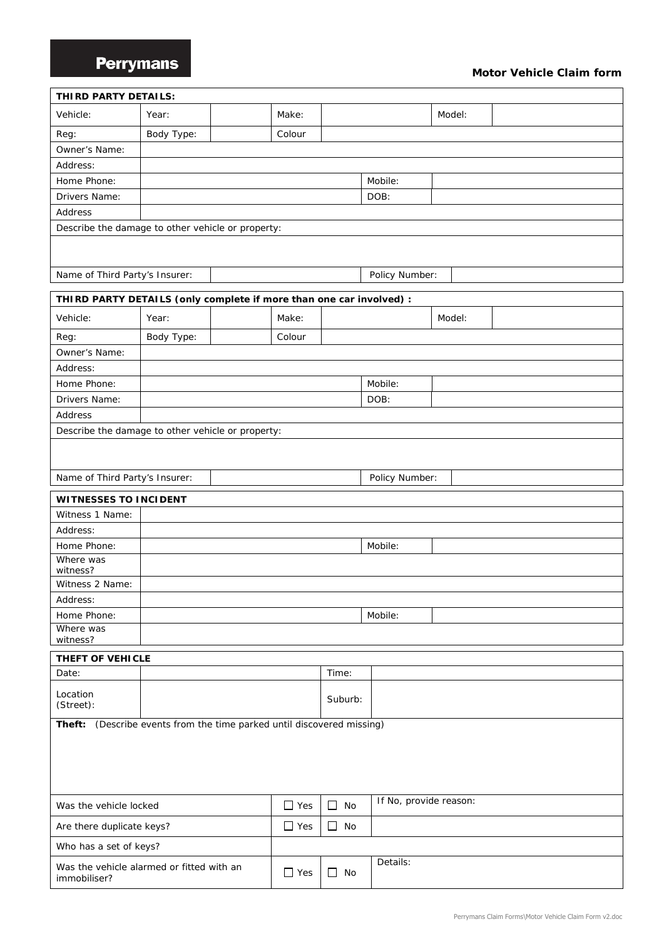## **Perrymans**

### **Motor Vehicle Claim form**

| THIRD PARTY DETAILS:                                                   |            |            |           |                        |        |  |
|------------------------------------------------------------------------|------------|------------|-----------|------------------------|--------|--|
| Vehicle:                                                               | Year:      | Make:      |           |                        | Model: |  |
| Reg:                                                                   | Body Type: | Colour     |           |                        |        |  |
| Owner's Name:                                                          |            |            |           |                        |        |  |
| Address:                                                               |            |            |           |                        |        |  |
| Home Phone:                                                            |            |            |           | Mobile:                |        |  |
| Drivers Name:                                                          |            |            |           | DOB:                   |        |  |
| Address                                                                |            |            |           |                        |        |  |
| Describe the damage to other vehicle or property:                      |            |            |           |                        |        |  |
|                                                                        |            |            |           |                        |        |  |
| Name of Third Party's Insurer:                                         |            |            |           | Policy Number:         |        |  |
| THIRD PARTY DETAILS (only complete if more than one car involved) :    |            |            |           |                        |        |  |
| Vehicle:                                                               | Year:      | Make:      |           |                        | Model: |  |
| Reg:                                                                   | Body Type: | Colour     |           |                        |        |  |
| Owner's Name:                                                          |            |            |           |                        |        |  |
| Address:                                                               |            |            |           |                        |        |  |
| Home Phone:                                                            |            |            |           | Mobile:                |        |  |
| Drivers Name:                                                          |            |            |           | DOB:                   |        |  |
| Address                                                                |            |            |           |                        |        |  |
| Describe the damage to other vehicle or property:                      |            |            |           |                        |        |  |
|                                                                        |            |            |           |                        |        |  |
| Name of Third Party's Insurer:                                         |            |            |           | Policy Number:         |        |  |
|                                                                        |            |            |           |                        |        |  |
| <b>WITNESSES TO INCIDENT</b>                                           |            |            |           |                        |        |  |
| Witness 1 Name:                                                        |            |            |           |                        |        |  |
| Address:                                                               |            |            |           |                        |        |  |
| Home Phone:                                                            |            |            |           | Mobile:                |        |  |
| Where was<br>witness?                                                  |            |            |           |                        |        |  |
| Witness 2 Name:                                                        |            |            |           |                        |        |  |
| Address:                                                               |            |            |           |                        |        |  |
| Home Phone:                                                            |            |            |           | Mobile:                |        |  |
| Where was                                                              |            |            |           |                        |        |  |
| witness?                                                               |            |            |           |                        |        |  |
| THEFT OF VEHICLE<br>Date:                                              |            |            | Time:     |                        |        |  |
| Location<br>(Street):                                                  |            |            | Suburb:   |                        |        |  |
|                                                                        |            |            |           |                        |        |  |
| Theft: (Describe events from the time parked until discovered missing) |            |            |           |                        |        |  |
| Was the vehicle locked                                                 |            | $\Box$ Yes | $\Box$ No | If No, provide reason: |        |  |
| Are there duplicate keys?                                              |            | $\Box$ Yes | $\Box$ No |                        |        |  |
| Who has a set of keys?                                                 |            |            |           |                        |        |  |